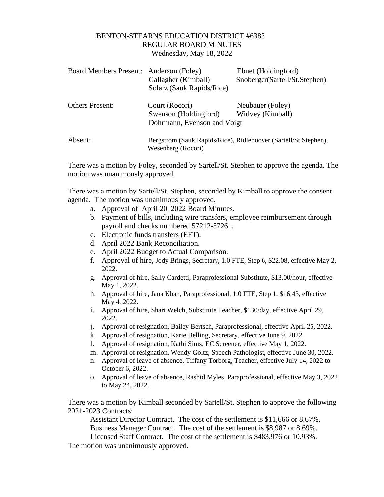## BENTON-STEARNS EDUCATION DISTRICT #6383 REGULAR BOARD MINUTES Wednesday, May 18, 2022

| Board Members Present: Anderson (Foley) | Gallagher (Kimball)<br>Solarz (Sauk Rapids/Rice)                                      | Ebnet (Holdingford)<br>Snoberger(Sartell/St.Stephen) |
|-----------------------------------------|---------------------------------------------------------------------------------------|------------------------------------------------------|
| <b>Others Present:</b>                  | Court (Rocori)<br>Swenson (Holdingford)<br>Dohrmann, Evenson and Voigt                | Neubauer (Foley)<br>Widvey (Kimball)                 |
| Absent:                                 | Bergstrom (Sauk Rapids/Rice), Ridlehoover (Sartell/St.Stephen),<br>Wesenberg (Rocori) |                                                      |

There was a motion by Foley, seconded by Sartell/St. Stephen to approve the agenda. The motion was unanimously approved.

There was a motion by Sartell/St. Stephen, seconded by Kimball to approve the consent agenda. The motion was unanimously approved.

- a. Approval of April 20, 2022 Board Minutes.
- b. Payment of bills, including wire transfers, employee reimbursement through payroll and checks numbered 57212-57261.
- c. Electronic funds transfers (EFT).
- d. April 2022 Bank Reconciliation.
- e. April 2022 Budget to Actual Comparison.
- f. Approval of hire, Jody Brings, Secretary, 1.0 FTE, Step 6, \$22.08, effective May 2, 2022.
- g. Approval of hire, Sally Cardetti, Paraprofessional Substitute, \$13.00/hour, effective May 1, 2022.
- h. Approval of hire, Jana Khan, Paraprofessional, 1.0 FTE, Step 1, \$16.43, effective May 4, 2022.
- i. Approval of hire, Shari Welch, Substitute Teacher, \$130/day, effective April 29, 2022.
- j. Approval of resignation, Bailey Bertsch, Paraprofessional, effective April 25, 2022.
- k. Approval of resignation, Karie Belling, Secretary, effective June 9, 2022.
- l. Approval of resignation, Kathi Sims, EC Screener, effective May 1, 2022.
- m. Approval of resignation, Wendy Goltz, Speech Pathologist, effective June 30, 2022.
- n. Approval of leave of absence, Tiffany Torborg, Teacher, effective July 14, 2022 to October 6, 2022.
- o. Approval of leave of absence, Rashid Myles, Paraprofessional, effective May 3, 2022 to May 24, 2022.

There was a motion by Kimball seconded by Sartell/St. Stephen to approve the following 2021-2023 Contracts:

Assistant Director Contract. The cost of the settlement is \$11,666 or 8.67%. Business Manager Contract. The cost of the settlement is \$8,987 or 8.69%. Licensed Staff Contract. The cost of the settlement is \$483,976 or 10.93%.

The motion was unanimously approved.